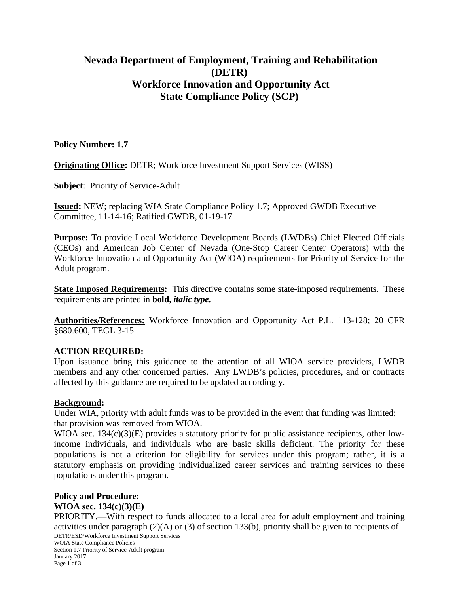# **Nevada Department of Employment, Training and Rehabilitation (DETR) Workforce Innovation and Opportunity Act State Compliance Policy (SCP)**

### **Policy Number: 1.7**

**Originating Office:** DETR; Workforce Investment Support Services (WISS)

**Subject**: Priority of Service-Adult

**Issued:** NEW; replacing WIA State Compliance Policy 1.7; Approved GWDB Executive Committee, 11-14-16; Ratified GWDB, 01-19-17

**Purpose:** To provide Local Workforce Development Boards (LWDBs) Chief Elected Officials (CEOs) and American Job Center of Nevada (One-Stop Career Center Operators) with the Workforce Innovation and Opportunity Act (WIOA) requirements for Priority of Service for the Adult program.

**State Imposed Requirements:** This directive contains some state-imposed requirements. These requirements are printed in **bold,** *italic type.*

**Authorities/References:** Workforce Innovation and Opportunity Act P.L. 113-128; 20 CFR §680.600, TEGL 3-15.

### **ACTION REQUIRED:**

Upon issuance bring this guidance to the attention of all WIOA service providers, LWDB members and any other concerned parties. Any LWDB's policies, procedures, and or contracts affected by this guidance are required to be updated accordingly.

### **Background:**

Under WIA, priority with adult funds was to be provided in the event that funding was limited; that provision was removed from WIOA.

WIOA sec. 134(c)(3)(E) provides a statutory priority for public assistance recipients, other lowincome individuals, and individuals who are basic skills deficient. The priority for these populations is not a criterion for eligibility for services under this program; rather, it is a statutory emphasis on providing individualized career services and training services to these populations under this program.

#### **Policy and Procedure: WIOA sec. 134(c)(3)(E)**

PRIORITY.—With respect to funds allocated to a local area for adult employment and training activities under paragraph (2)(A) or (3) of section 133(b), priority shall be given to recipients of DETR/ESD/Workforce Investment Support Services WOIA State Compliance Policies Section 1.7 Priority of Service-Adult program

January 2017 Page 1 of 3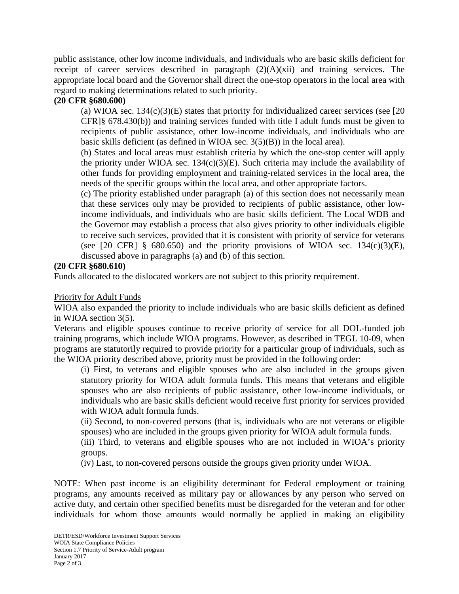public assistance, other low income individuals, and individuals who are basic skills deficient for receipt of career services described in paragraph  $(2)(A)(xii)$  and training services. The appropriate local board and the Governor shall direct the one-stop operators in the local area with regard to making determinations related to such priority.

## **(20 CFR §680.600)**

(a) WIOA sec.  $134(c)(3)(E)$  states that priority for individualized career services (see [20] CFR]§ 678.430(b)) and training services funded with title I adult funds must be given to recipients of public assistance, other low-income individuals, and individuals who are basic skills deficient (as defined in WIOA sec. 3(5)(B)) in the local area).

(b) States and local areas must establish criteria by which the one-stop center will apply the priority under WIOA sec.  $134(c)(3)(E)$ . Such criteria may include the availability of other funds for providing employment and training-related services in the local area, the needs of the specific groups within the local area, and other appropriate factors.

(c) The priority established under paragraph (a) of this section does not necessarily mean that these services only may be provided to recipients of public assistance, other lowincome individuals, and individuals who are basic skills deficient. The Local WDB and the Governor may establish a process that also gives priority to other individuals eligible to receive such services, provided that it is consistent with priority of service for veterans (see [20 CFR]  $\S$  680.650) and the priority provisions of WIOA sec. 134(c)(3)(E), discussed above in paragraphs (a) and (b) of this section.

### **(20 CFR §680.610)**

Funds allocated to the dislocated workers are not subject to this priority requirement.

### Priority for Adult Funds

WIOA also expanded the priority to include individuals who are basic skills deficient as defined in WIOA section 3(5).

Veterans and eligible spouses continue to receive priority of service for all DOL-funded job training programs, which include WIOA programs. However, as described in TEGL 10-09, when programs are statutorily required to provide priority for a particular group of individuals, such as the WIOA priority described above, priority must be provided in the following order:

(i) First, to veterans and eligible spouses who are also included in the groups given statutory priority for WIOA adult formula funds. This means that veterans and eligible spouses who are also recipients of public assistance, other low-income individuals, or individuals who are basic skills deficient would receive first priority for services provided with WIOA adult formula funds.

(ii) Second, to non-covered persons (that is, individuals who are not veterans or eligible spouses) who are included in the groups given priority for WIOA adult formula funds.

(iii) Third, to veterans and eligible spouses who are not included in WIOA's priority groups.

(iv) Last, to non-covered persons outside the groups given priority under WIOA.

NOTE: When past income is an eligibility determinant for Federal employment or training programs, any amounts received as military pay or allowances by any person who served on active duty, and certain other specified benefits must be disregarded for the veteran and for other individuals for whom those amounts would normally be applied in making an eligibility